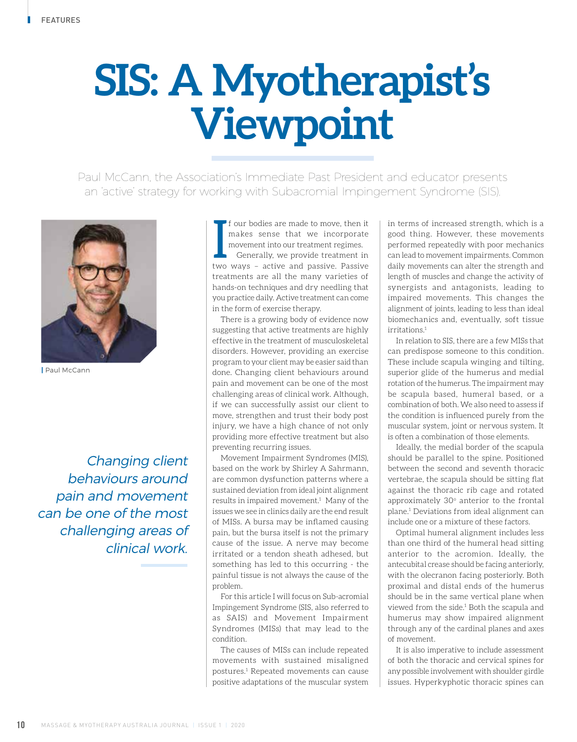## **SIS: A Myotherapist's Viewpoint**

Paul McCann, the Association's Immediate Past President and educator presents an 'active' strategy for working with Subacromial Impingement Syndrome (SIS).



| Paul McCann

Changing client behaviours around pain and movement can be one of the most challenging areas of clinical work.

I f our bodies are made to move, then it makes sense that we incorporate movement into our treatment regimes.<br>Generally, we provide treatment in two ways - active and passive. Passive f our bodies are made to move, then it makes sense that we incorporate movement into our treatment regimes. Generally, we provide treatment in treatments are all the many varieties of hands-on techniques and dry needling that you practice daily. Active treatment can come in the form of exercise therapy.

There is a growing body of evidence now suggesting that active treatments are highly effective in the treatment of musculoskeletal disorders. However, providing an exercise program to your client may be easier said than done. Changing client behaviours around pain and movement can be one of the most challenging areas of clinical work. Although, if we can successfully assist our client to move, strengthen and trust their body post injury, we have a high chance of not only providing more effective treatment but also preventing recurring issues.

Movement Impairment Syndromes (MIS), based on the work by Shirley A Sahrmann, are common dysfunction patterns where a sustained deviation from ideal joint alignment results in impaired movement.<sup>1</sup> Many of the issues we see in clinics daily are the end result of MISs. A bursa may be inflamed causing pain, but the bursa itself is not the primary cause of the issue. A nerve may become irritated or a tendon sheath adhesed, but something has led to this occurring - the painful tissue is not always the cause of the problem.

For this article I will focus on Sub-acromial Impingement Syndrome (SIS, also referred to as SAIS) and Movement Impairment Syndromes (MISs) that may lead to the condition.

The causes of MISs can include repeated movements with sustained misaligned postures.1 Repeated movements can cause positive adaptations of the muscular system in terms of increased strength, which is a good thing. However, these movements performed repeatedly with poor mechanics can lead to movement impairments. Common daily movements can alter the strength and length of muscles and change the activity of synergists and antagonists, leading to impaired movements. This changes the alignment of joints, leading to less than ideal biomechanics and, eventually, soft tissue irritations<sup>1</sup>

In relation to SIS, there are a few MISs that can predispose someone to this condition. These include scapula winging and tilting, superior glide of the humerus and medial rotation of the humerus. The impairment may be scapula based, humeral based, or a combination of both. We also need to assess if the condition is influenced purely from the muscular system, joint or nervous system. It is often a combination of those elements.

Ideally, the medial border of the scapula should be parallel to the spine. Positioned between the second and seventh thoracic vertebrae, the scapula should be sitting flat against the thoracic rib cage and rotated approximately 30° anterior to the frontal plane.1 Deviations from ideal alignment can include one or a mixture of these factors.

Optimal humeral alignment includes less than one third of the humeral head sitting anterior to the acromion. Ideally, the antecubital crease should be facing anteriorly, with the olecranon facing posteriorly. Both proximal and distal ends of the humerus should be in the same vertical plane when viewed from the side.<sup>1</sup> Both the scapula and humerus may show impaired alignment through any of the cardinal planes and axes of movement.

It is also imperative to include assessment of both the thoracic and cervical spines for any possible involvement with shoulder girdle issues. Hyperkyphotic thoracic spines can